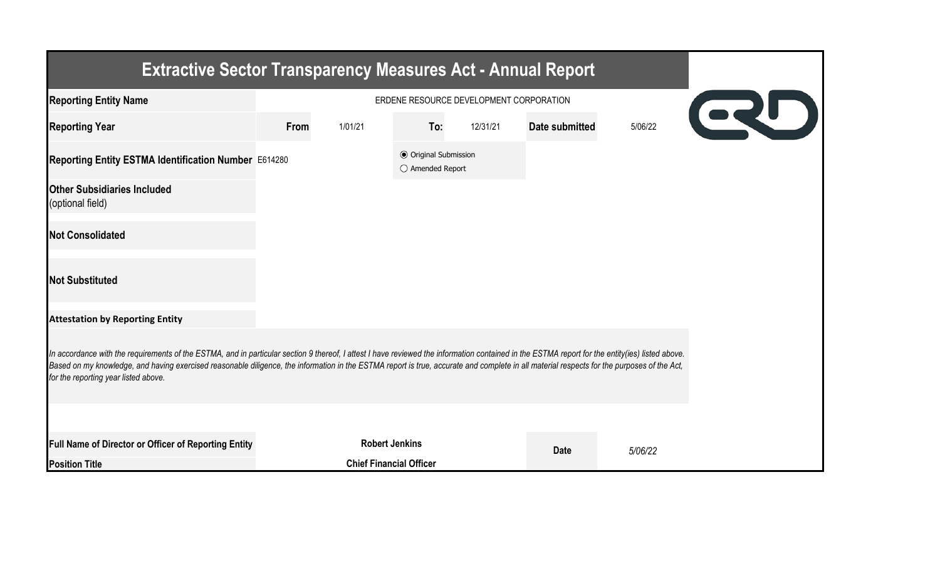| <b>Extractive Sector Transparency Measures Act - Annual Report</b>                                                                                                                                                                                                                                                                                                                                                                    |                                                       |                                |                                                  |          |                |         |  |
|---------------------------------------------------------------------------------------------------------------------------------------------------------------------------------------------------------------------------------------------------------------------------------------------------------------------------------------------------------------------------------------------------------------------------------------|-------------------------------------------------------|--------------------------------|--------------------------------------------------|----------|----------------|---------|--|
| <b>Reporting Entity Name</b>                                                                                                                                                                                                                                                                                                                                                                                                          | ERDENE RESOURCE DEVELOPMENT CORPORATION<br><b>CRU</b> |                                |                                                  |          |                |         |  |
| <b>Reporting Year</b>                                                                                                                                                                                                                                                                                                                                                                                                                 | From                                                  | 1/01/21                        | To:                                              | 12/31/21 | Date submitted | 5/06/22 |  |
| Reporting Entity ESTMA Identification Number E614280                                                                                                                                                                                                                                                                                                                                                                                  |                                                       |                                | <b>◎</b> Original Submission<br>○ Amended Report |          |                |         |  |
| <b>Other Subsidiaries Included</b><br>(optional field)                                                                                                                                                                                                                                                                                                                                                                                |                                                       |                                |                                                  |          |                |         |  |
| <b>Not Consolidated</b>                                                                                                                                                                                                                                                                                                                                                                                                               |                                                       |                                |                                                  |          |                |         |  |
| <b>Not Substituted</b>                                                                                                                                                                                                                                                                                                                                                                                                                |                                                       |                                |                                                  |          |                |         |  |
| <b>Attestation by Reporting Entity</b>                                                                                                                                                                                                                                                                                                                                                                                                |                                                       |                                |                                                  |          |                |         |  |
| In accordance with the requirements of the ESTMA, and in particular section 9 thereof, I attest I have reviewed the information contained in the ESTMA report for the entity(ies) listed above.<br>Based on my knowledge, and having exercised reasonable diligence, the information in the ESTMA report is true, accurate and complete in all material respects for the purposes of the Act,<br>for the reporting year listed above. |                                                       |                                |                                                  |          |                |         |  |
|                                                                                                                                                                                                                                                                                                                                                                                                                                       |                                                       |                                |                                                  |          |                |         |  |
| Full Name of Director or Officer of Reporting Entity                                                                                                                                                                                                                                                                                                                                                                                  |                                                       | <b>Robert Jenkins</b>          |                                                  |          | <b>Date</b>    | 5/06/22 |  |
| <b>Position Title</b>                                                                                                                                                                                                                                                                                                                                                                                                                 |                                                       | <b>Chief Financial Officer</b> |                                                  |          |                |         |  |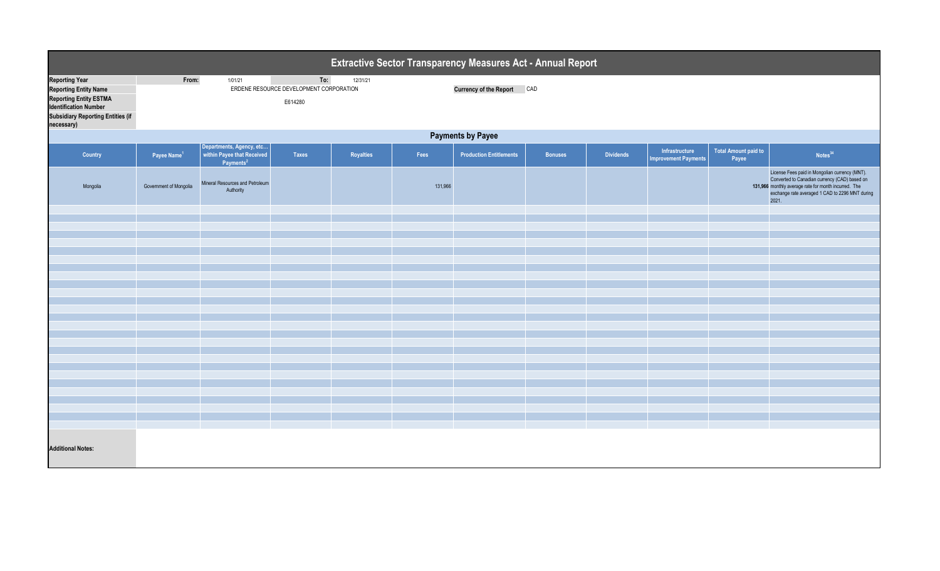| Extractive Sector Transparency Measures Act - Annual Report                                                                                                                      |                                                                                           |                                                                                 |       |                                   |         |                                |         |                  |                                               |                               |                                                                                                                                                                                                                     |  |
|----------------------------------------------------------------------------------------------------------------------------------------------------------------------------------|-------------------------------------------------------------------------------------------|---------------------------------------------------------------------------------|-------|-----------------------------------|---------|--------------------------------|---------|------------------|-----------------------------------------------|-------------------------------|---------------------------------------------------------------------------------------------------------------------------------------------------------------------------------------------------------------------|--|
| <b>Reporting Year</b><br><b>Reporting Entity Name</b><br><b>Reporting Entity ESTMA</b><br><b>Identification Number</b><br><b>Subsidiary Reporting Entities (if</b><br>necessary) | 1/01/21<br>To:<br>From:<br>12/31/21<br>ERDENE RESOURCE DEVELOPMENT CORPORATION<br>E614280 |                                                                                 |       | <b>Currency of the Report CAD</b> |         |                                |         |                  |                                               |                               |                                                                                                                                                                                                                     |  |
|                                                                                                                                                                                  | <b>Payments by Payee</b>                                                                  |                                                                                 |       |                                   |         |                                |         |                  |                                               |                               |                                                                                                                                                                                                                     |  |
| Country                                                                                                                                                                          | Payee Name $1$                                                                            | Departments, Agency, etc<br>within Payee that Received<br>Payments <sup>2</sup> | Taxes | Royalties                         | Fees    | <b>Production Entitlements</b> | Bonuses | <b>Dividends</b> | Infrastructure<br><b>Improvement Payments</b> | Total Amount paid to<br>Payee | Notes <sup>34</sup>                                                                                                                                                                                                 |  |
| Mongolia                                                                                                                                                                         | Government of Mongolia                                                                    | Mineral Resources and Petroleum<br>Authority                                    |       |                                   | 131,966 |                                |         |                  |                                               |                               | License Fees paid in Mongolian currency (MNT).<br>Converted to Canadian currency (CAD) based on<br>131,966 monthly average rate for month incurred. The<br>exchange rate averaged 1 CAD to 2296 MNT during<br>2021. |  |
|                                                                                                                                                                                  |                                                                                           |                                                                                 |       |                                   |         |                                |         |                  |                                               |                               |                                                                                                                                                                                                                     |  |
|                                                                                                                                                                                  |                                                                                           |                                                                                 |       |                                   |         |                                |         |                  |                                               |                               |                                                                                                                                                                                                                     |  |
|                                                                                                                                                                                  |                                                                                           |                                                                                 |       |                                   |         |                                |         |                  |                                               |                               |                                                                                                                                                                                                                     |  |
|                                                                                                                                                                                  |                                                                                           |                                                                                 |       |                                   |         |                                |         |                  |                                               |                               |                                                                                                                                                                                                                     |  |
|                                                                                                                                                                                  |                                                                                           |                                                                                 |       |                                   |         |                                |         |                  |                                               |                               |                                                                                                                                                                                                                     |  |
|                                                                                                                                                                                  |                                                                                           |                                                                                 |       |                                   |         |                                |         |                  |                                               |                               |                                                                                                                                                                                                                     |  |
|                                                                                                                                                                                  |                                                                                           |                                                                                 |       |                                   |         |                                |         |                  |                                               |                               |                                                                                                                                                                                                                     |  |
|                                                                                                                                                                                  |                                                                                           |                                                                                 |       |                                   |         |                                |         |                  |                                               |                               |                                                                                                                                                                                                                     |  |
|                                                                                                                                                                                  |                                                                                           |                                                                                 |       |                                   |         |                                |         |                  |                                               |                               |                                                                                                                                                                                                                     |  |
|                                                                                                                                                                                  |                                                                                           |                                                                                 |       |                                   |         |                                |         |                  |                                               |                               |                                                                                                                                                                                                                     |  |
|                                                                                                                                                                                  |                                                                                           |                                                                                 |       |                                   |         |                                |         |                  |                                               |                               |                                                                                                                                                                                                                     |  |
|                                                                                                                                                                                  |                                                                                           |                                                                                 |       |                                   |         |                                |         |                  |                                               |                               |                                                                                                                                                                                                                     |  |
|                                                                                                                                                                                  |                                                                                           |                                                                                 |       |                                   |         |                                |         |                  |                                               |                               |                                                                                                                                                                                                                     |  |
|                                                                                                                                                                                  |                                                                                           |                                                                                 |       |                                   |         |                                |         |                  |                                               |                               |                                                                                                                                                                                                                     |  |
|                                                                                                                                                                                  |                                                                                           |                                                                                 |       |                                   |         |                                |         |                  |                                               |                               |                                                                                                                                                                                                                     |  |
|                                                                                                                                                                                  |                                                                                           |                                                                                 |       |                                   |         |                                |         |                  |                                               |                               |                                                                                                                                                                                                                     |  |
|                                                                                                                                                                                  |                                                                                           |                                                                                 |       |                                   |         |                                |         |                  |                                               |                               |                                                                                                                                                                                                                     |  |
|                                                                                                                                                                                  |                                                                                           |                                                                                 |       |                                   |         |                                |         |                  |                                               |                               |                                                                                                                                                                                                                     |  |
|                                                                                                                                                                                  |                                                                                           |                                                                                 |       |                                   |         |                                |         |                  |                                               |                               |                                                                                                                                                                                                                     |  |
|                                                                                                                                                                                  |                                                                                           |                                                                                 |       |                                   |         |                                |         |                  |                                               |                               |                                                                                                                                                                                                                     |  |
| <b>Additional Notes:</b>                                                                                                                                                         |                                                                                           |                                                                                 |       |                                   |         |                                |         |                  |                                               |                               |                                                                                                                                                                                                                     |  |